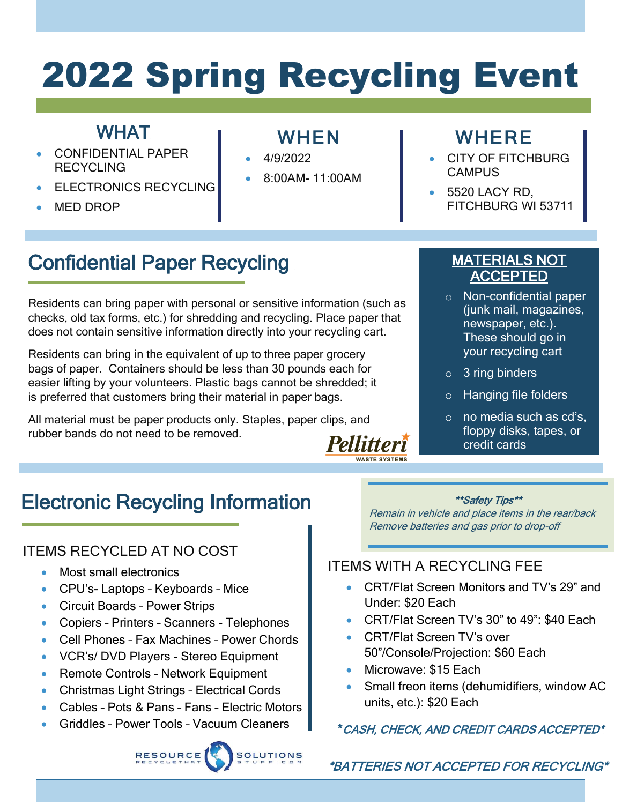# 2022 Spring Recycling Event

### **WHAT**

- CONFIDENTIAL PAPER **RECYCLING**
- **ELECTRONICS RECYCLING**
- MED DROP

### WHEN

- 4/9/2022
- 8:00AM- 11:00AM

### **WHERE**

- CITY OF FITCHBURG **CAMPUS**
- 5520 LACY RD. FITCHBURG WI 53711

# Confidential Paper Recycling

Residents can bring paper with personal or sensitive information (such as checks, old tax forms, etc.) for shredding and recycling. Place paper that does not contain sensitive information directly into your recycling cart.

Residents can bring in the equivalent of up to three paper grocery bags of paper. Containers should be less than 30 pounds each for easier lifting by your volunteers. Plastic bags cannot be shredded; it is preferred that customers bring their material in paper bags.

All material must be paper products only. Staples, paper clips, and rubber bands do not need to be removed. **Pellitteri** 

### MATERIALS NOT ACCEPTED

- o Non-confidential paper (junk mail, magazines, newspaper, etc.). These should go in your recycling cart
- $\circ$  3 ring binders
- o Hanging file folders
- o no media such as cd's, floppy disks, tapes, or credit cards

# Electronic Recycling Information

### ITEMS RECYCLED AT NO COST

• Most small electronics

- CPU's- Laptops Keyboards Mice
- Circuit Boards Power Strips
- Copiers Printers Scanners Telephones
- Cell Phones Fax Machines Power Chords
- VCR's/ DVD Players Stereo Equipment
- Remote Controls Network Equipment
- Christmas Light Strings Electrical Cords
- Cables Pots & Pans Fans Electric Motors
- Griddles Power Tools Vacuum Cleaners

#### \*\*Safety Tips\*\*

Remain in vehicle and place items in the rear/back Remove batteries and gas prior to drop-off

### ITEMS WITH A RECYCLING FEE

- CRT/Flat Screen Monitors and TV's 29" and Under: \$20 Each
- CRT/Flat Screen TV's 30" to 49": \$40 Each
- CRT/Flat Screen TV's over 50"/Console/Projection: \$60 Each
- Microwave: \$15 Each
- Small freon items (dehumidifiers, window AC units, etc.): \$20 Each

### \*CASH, CHECK, AND CREDIT CARDS ACCEPTED\*